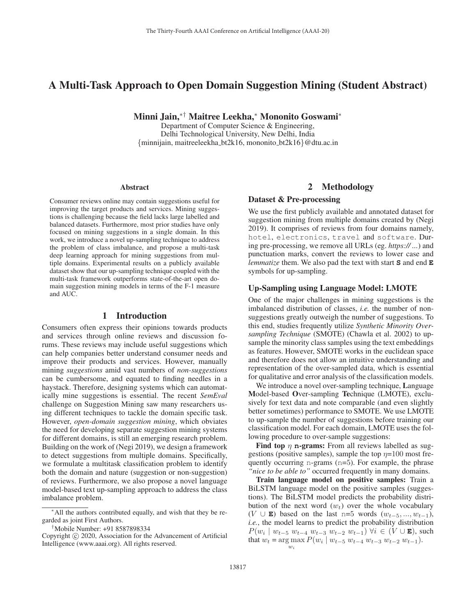# A Multi-Task Approach to Open Domain Suggestion Mining (Student Abstract)

Minni Jain,∗† Maitree Leekha,<sup>∗</sup> Mononito Goswami<sup>∗</sup>

Department of Computer Science & Engineering, Delhi Technological University, New Delhi, India {minnijain, maitreeleekha bt2k16, mononito bt2k16}@dtu.ac.in

#### Abstract

Consumer reviews online may contain suggestions useful for improving the target products and services. Mining suggestions is challenging because the field lacks large labelled and balanced datasets. Furthermore, most prior studies have only focused on mining suggestions in a single domain. In this work, we introduce a novel up-sampling technique to address the problem of class imbalance, and propose a multi-task deep learning approach for mining suggestions from multiple domains. Experimental results on a publicly available dataset show that our up-sampling technique coupled with the multi-task framework outperforms state-of-the-art open domain suggestion mining models in terms of the F-1 measure and AUC.

## 1 Introduction

Consumers often express their opinions towards products and services through online reviews and discussion forums. These reviews may include useful suggestions which can help companies better understand consumer needs and improve their products and services. However, manually mining *suggestions* amid vast numbers of *non-suggestions* can be cumbersome, and equated to finding needles in a haystack. Therefore, designing systems which can automatically mine suggestions is essential. The recent *SemEval* challenge on Suggestion Mining saw many researchers using different techniques to tackle the domain specific task. However, *open-domain suggestion mining*, which obviates the need for developing separate suggestion mining systems for different domains, is still an emerging research problem. Building on the work of (Negi 2019), we design a framework to detect suggestions from multiple domains. Specifically, we formulate a multitask classification problem to identify both the domain and nature (suggestion or non-suggestion) of reviews. Furthermore, we also propose a novel language model-based text up-sampling approach to address the class imbalance problem.

†Mobile Number: +91 8587898334

# 2 Methodology

### Dataset & Pre-processing

We use the first publicly available and annotated dataset for suggestion mining from multiple domains created by (Negi 2019). It comprises of reviews from four domains namely, hotel, electronics, travel and software. During pre-processing, we remove all URLs (eg. *https:// ...*) and punctuation marks, convert the reviews to lower case and *lemmatize* them. We also pad the text with start **S** and end **E** symbols for up-sampling.

#### Up-Sampling using Language Model: LMOTE

One of the major challenges in mining suggestions is the imbalanced distribution of classes, *i.e.* the number of nonsuggestions greatly outweigh the number of suggestions. To this end, studies frequently utilize *Synthetic Minority Oversampling Technique* (SMOTE) (Chawla et al. 2002) to upsample the minority class samples using the text embeddings as features. However, SMOTE works in the euclidean space and therefore does not allow an intuitive understanding and representation of the over-sampled data, which is essential for qualitative and error analysis of the classification models.

We introduce a novel over-sampling technique, Language Model-based Over-sampling Technique (LMOTE), exclusively for text data and note comparable (and even slightly better sometimes) performance to SMOTE. We use LMOTE to up-sample the number of suggestions before training our classification model. For each domain, LMOTE uses the following procedure to over-sample suggestions:

**Find top**  $\eta$  **<b>n**-grams: From all reviews labelled as suggestions (positive samples), sample the top  $\eta=100$  most frequently occurring  $n$ -grams  $(n=5)$ . For example, the phrase *"nice to be able to"* occurred frequently in many domains.

Train language model on positive samples: Train a BiLSTM language model on the positive samples (suggestions). The BiLSTM model predicts the probability distribution of the next word  $(w_t)$  over the whole vocabulary  $(V \cup E)$  based on the last n=5 words  $(w_{t-5}, ..., w_{t-1}),$ *i.e.*, the model learns to predict the probability distribution  $P(w_i \mid w_{t-5} \mid w_{t-4} \mid w_{t-3} \mid w_{t-2} \mid w_{t-1})$   $\forall i \in (V \cup E)$ , such that  $w_t = \arg \max_{w_i} P(w_i \mid w_{t-5} \mid w_{t-4} \mid w_{t-3} \mid w_{t-2} \mid w_{t-1}).$ 

<sup>∗</sup>All the authors contributed equally, and wish that they be regarded as joint First Authors.

Copyright  $\odot$  2020, Association for the Advancement of Artificial Intelligence (www.aaai.org). All rights reserved.